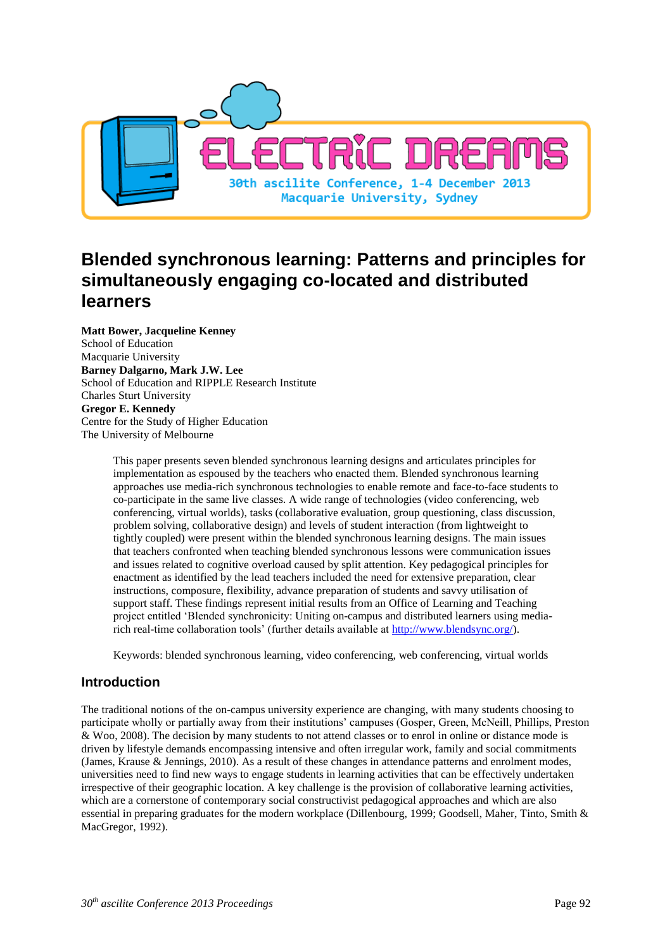

# **Blended synchronous learning: Patterns and principles for simultaneously engaging co-located and distributed learners**

**Matt Bower, Jacqueline Kenney** School of Education Macquarie University **Barney Dalgarno, Mark J.W. Lee** School of Education and RIPPLE Research Institute Charles Sturt University **Gregor E. Kennedy** Centre for the Study of Higher Education The University of Melbourne

> This paper presents seven blended synchronous learning designs and articulates principles for implementation as espoused by the teachers who enacted them. Blended synchronous learning approaches use media-rich synchronous technologies to enable remote and face-to-face students to co-participate in the same live classes. A wide range of technologies (video conferencing, web conferencing, virtual worlds), tasks (collaborative evaluation, group questioning, class discussion, problem solving, collaborative design) and levels of student interaction (from lightweight to tightly coupled) were present within the blended synchronous learning designs. The main issues that teachers confronted when teaching blended synchronous lessons were communication issues and issues related to cognitive overload caused by split attention. Key pedagogical principles for enactment as identified by the lead teachers included the need for extensive preparation, clear instructions, composure, flexibility, advance preparation of students and savvy utilisation of support staff. These findings represent initial results from an Office of Learning and Teaching project entitled 'Blended synchronicity: Uniting on-campus and distributed learners using mediarich real-time collaboration tools' (further details available at [http://www.blendsync.org/\)](http://www.blendsync.org/).

Keywords: blended synchronous learning, video conferencing, web conferencing, virtual worlds

## **Introduction**

The traditional notions of the on-campus university experience are changing, with many students choosing to participate wholly or partially away from their institutions' campuses (Gosper, Green, McNeill, Phillips, Preston & Woo, 2008). The decision by many students to not attend classes or to enrol in online or distance mode is driven by lifestyle demands encompassing intensive and often irregular work, family and social commitments (James, Krause & Jennings, 2010). As a result of these changes in attendance patterns and enrolment modes, universities need to find new ways to engage students in learning activities that can be effectively undertaken irrespective of their geographic location. A key challenge is the provision of collaborative learning activities, which are a cornerstone of contemporary social constructivist pedagogical approaches and which are also essential in preparing graduates for the modern workplace (Dillenbourg, 1999; Goodsell, Maher, Tinto, Smith & MacGregor, 1992).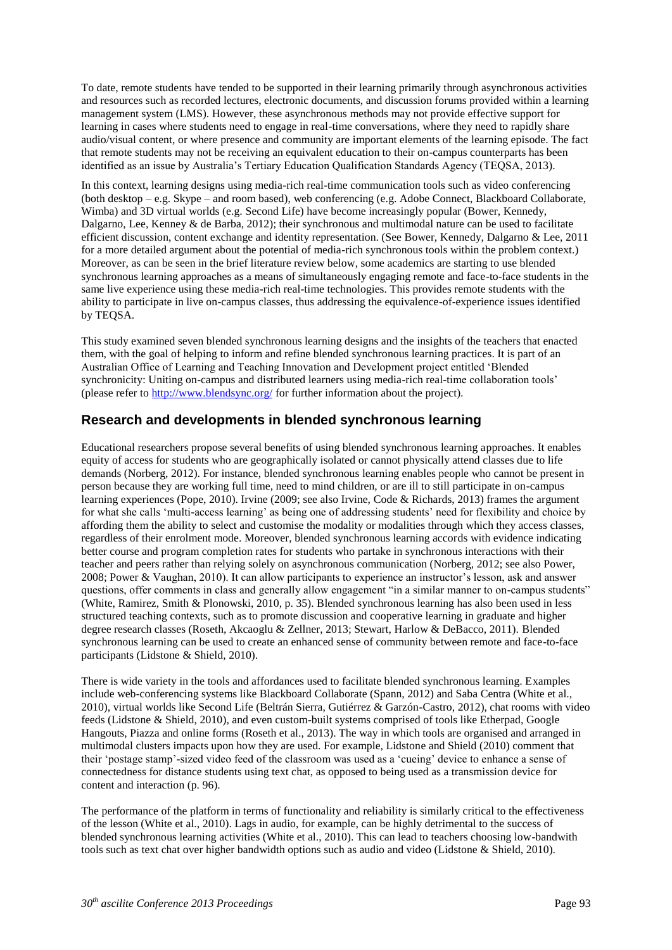To date, remote students have tended to be supported in their learning primarily through asynchronous activities and resources such as recorded lectures, electronic documents, and discussion forums provided within a learning management system (LMS). However, these asynchronous methods may not provide effective support for learning in cases where students need to engage in real-time conversations, where they need to rapidly share audio/visual content, or where presence and community are important elements of the learning episode. The fact that remote students may not be receiving an equivalent education to their on-campus counterparts has been identified as an issue by Australia's Tertiary Education Qualification Standards Agency (TEQSA, 2013).

In this context, learning designs using media-rich real-time communication tools such as video conferencing (both desktop – e.g. Skype – and room based), web conferencing (e.g. Adobe Connect, Blackboard Collaborate, Wimba) and 3D virtual worlds (e.g. Second Life) have become increasingly popular (Bower, Kennedy, Dalgarno, Lee, Kenney & de Barba, 2012); their synchronous and multimodal nature can be used to facilitate efficient discussion, content exchange and identity representation. (See Bower, Kennedy, Dalgarno & Lee, 2011 for a more detailed argument about the potential of media-rich synchronous tools within the problem context.) Moreover, as can be seen in the brief literature review below, some academics are starting to use blended synchronous learning approaches as a means of simultaneously engaging remote and face-to-face students in the same live experience using these media-rich real-time technologies. This provides remote students with the ability to participate in live on-campus classes, thus addressing the equivalence-of-experience issues identified by TEQSA.

This study examined seven blended synchronous learning designs and the insights of the teachers that enacted them, with the goal of helping to inform and refine blended synchronous learning practices. It is part of an Australian Office of Learning and Teaching Innovation and Development project entitled 'Blended synchronicity: Uniting on-campus and distributed learners using media-rich real-time collaboration tools' (please refer to<http://www.blendsync.org/> for further information about the project).

## **Research and developments in blended synchronous learning**

Educational researchers propose several benefits of using blended synchronous learning approaches. It enables equity of access for students who are geographically isolated or cannot physically attend classes due to life demands (Norberg, 2012). For instance, blended synchronous learning enables people who cannot be present in person because they are working full time, need to mind children, or are ill to still participate in on-campus learning experiences (Pope, 2010). Irvine (2009; see also Irvine, Code & Richards, 2013) frames the argument for what she calls 'multi-access learning' as being one of addressing students' need for flexibility and choice by affording them the ability to select and customise the modality or modalities through which they access classes, regardless of their enrolment mode. Moreover, blended synchronous learning accords with evidence indicating better course and program completion rates for students who partake in synchronous interactions with their teacher and peers rather than relying solely on asynchronous communication (Norberg, 2012; see also Power, 2008; Power & Vaughan, 2010). It can allow participants to experience an instructor's lesson, ask and answer questions, offer comments in class and generally allow engagement "in a similar manner to on-campus students" (White, Ramirez, Smith & Plonowski, 2010, p. 35). Blended synchronous learning has also been used in less structured teaching contexts, such as to promote discussion and cooperative learning in graduate and higher degree research classes (Roseth, Akcaoglu & Zellner, 2013; Stewart, Harlow & DeBacco, 2011). Blended synchronous learning can be used to create an enhanced sense of community between remote and face-to-face participants (Lidstone & Shield, 2010).

There is wide variety in the tools and affordances used to facilitate blended synchronous learning. Examples include web-conferencing systems like Blackboard Collaborate (Spann, 2012) and Saba Centra (White et al., 2010), virtual worlds like Second Life (Beltrán Sierra, Gutiérrez & Garzón-Castro, 2012), chat rooms with video feeds (Lidstone & Shield, 2010), and even custom-built systems comprised of tools like Etherpad, Google Hangouts, Piazza and online forms (Roseth et al., 2013). The way in which tools are organised and arranged in multimodal clusters impacts upon how they are used. For example, Lidstone and Shield (2010) comment that their 'postage stamp'-sized video feed of the classroom was used as a 'cueing' device to enhance a sense of connectedness for distance students using text chat, as opposed to being used as a transmission device for content and interaction (p. 96).

The performance of the platform in terms of functionality and reliability is similarly critical to the effectiveness of the lesson (White et al., 2010). Lags in audio, for example, can be highly detrimental to the success of blended synchronous learning activities (White et al., 2010). This can lead to teachers choosing low-bandwith tools such as text chat over higher bandwidth options such as audio and video (Lidstone & Shield, 2010).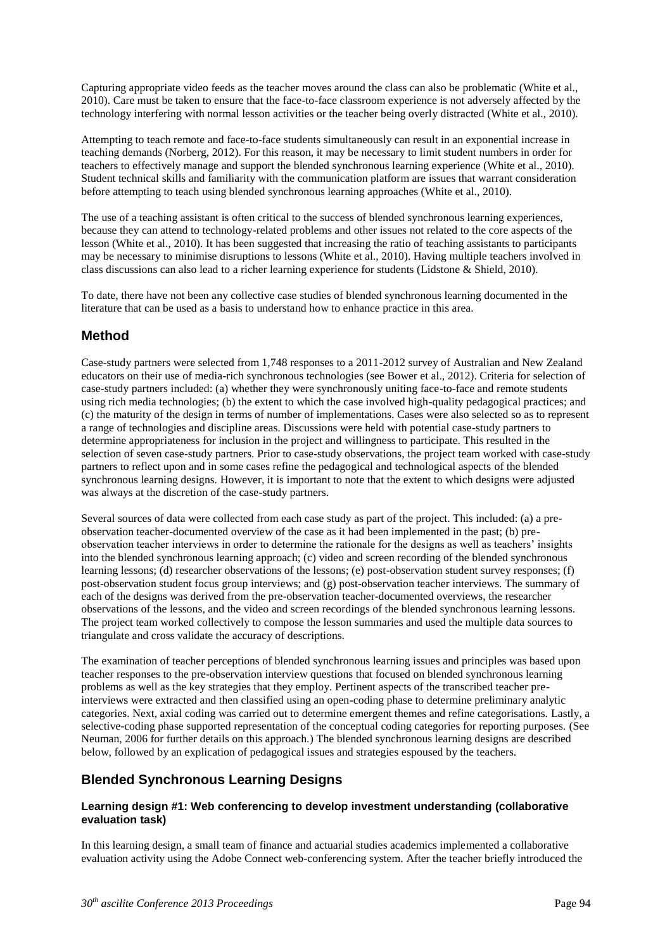Capturing appropriate video feeds as the teacher moves around the class can also be problematic (White et al., 2010). Care must be taken to ensure that the face-to-face classroom experience is not adversely affected by the technology interfering with normal lesson activities or the teacher being overly distracted (White et al., 2010).

Attempting to teach remote and face-to-face students simultaneously can result in an exponential increase in teaching demands (Norberg, 2012). For this reason, it may be necessary to limit student numbers in order for teachers to effectively manage and support the blended synchronous learning experience (White et al., 2010). Student technical skills and familiarity with the communication platform are issues that warrant consideration before attempting to teach using blended synchronous learning approaches (White et al., 2010).

The use of a teaching assistant is often critical to the success of blended synchronous learning experiences, because they can attend to technology-related problems and other issues not related to the core aspects of the lesson (White et al., 2010). It has been suggested that increasing the ratio of teaching assistants to participants may be necessary to minimise disruptions to lessons (White et al., 2010). Having multiple teachers involved in class discussions can also lead to a richer learning experience for students (Lidstone & Shield, 2010).

To date, there have not been any collective case studies of blended synchronous learning documented in the literature that can be used as a basis to understand how to enhance practice in this area.

## **Method**

Case-study partners were selected from 1,748 responses to a 2011-2012 survey of Australian and New Zealand educators on their use of media-rich synchronous technologies (see Bower et al., 2012). Criteria for selection of case-study partners included: (a) whether they were synchronously uniting face-to-face and remote students using rich media technologies; (b) the extent to which the case involved high-quality pedagogical practices; and (c) the maturity of the design in terms of number of implementations. Cases were also selected so as to represent a range of technologies and discipline areas. Discussions were held with potential case-study partners to determine appropriateness for inclusion in the project and willingness to participate. This resulted in the selection of seven case-study partners. Prior to case-study observations, the project team worked with case-study partners to reflect upon and in some cases refine the pedagogical and technological aspects of the blended synchronous learning designs. However, it is important to note that the extent to which designs were adjusted was always at the discretion of the case-study partners.

Several sources of data were collected from each case study as part of the project. This included: (a) a preobservation teacher-documented overview of the case as it had been implemented in the past; (b) preobservation teacher interviews in order to determine the rationale for the designs as well as teachers' insights into the blended synchronous learning approach; (c) video and screen recording of the blended synchronous learning lessons; (d) researcher observations of the lessons; (e) post-observation student survey responses; (f) post-observation student focus group interviews; and (g) post-observation teacher interviews. The summary of each of the designs was derived from the pre-observation teacher-documented overviews, the researcher observations of the lessons, and the video and screen recordings of the blended synchronous learning lessons. The project team worked collectively to compose the lesson summaries and used the multiple data sources to triangulate and cross validate the accuracy of descriptions.

The examination of teacher perceptions of blended synchronous learning issues and principles was based upon teacher responses to the pre-observation interview questions that focused on blended synchronous learning problems as well as the key strategies that they employ. Pertinent aspects of the transcribed teacher preinterviews were extracted and then classified using an open-coding phase to determine preliminary analytic categories. Next, axial coding was carried out to determine emergent themes and refine categorisations. Lastly, a selective-coding phase supported representation of the conceptual coding categories for reporting purposes. (See Neuman, 2006 for further details on this approach.) The blended synchronous learning designs are described below, followed by an explication of pedagogical issues and strategies espoused by the teachers.

## **Blended Synchronous Learning Designs**

### **Learning design #1: Web conferencing to develop investment understanding (collaborative evaluation task)**

In this learning design, a small team of finance and actuarial studies academics implemented a collaborative evaluation activity using the Adobe Connect web-conferencing system. After the teacher briefly introduced the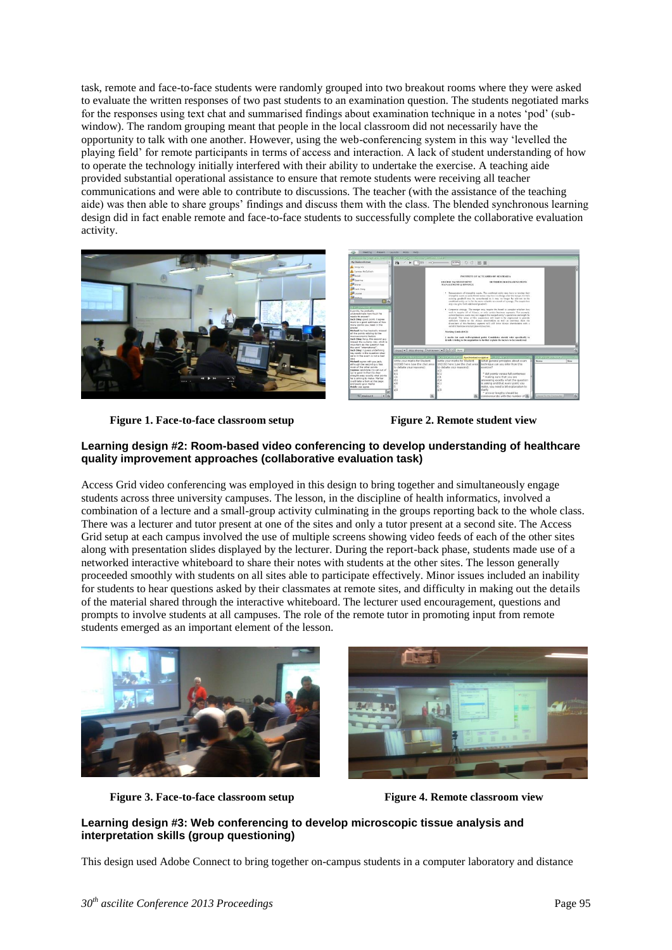task, remote and face-to-face students were randomly grouped into two breakout rooms where they were asked to evaluate the written responses of two past students to an examination question. The students negotiated marks for the responses using text chat and summarised findings about examination technique in a notes 'pod' (subwindow). The random grouping meant that people in the local classroom did not necessarily have the opportunity to talk with one another. However, using the web-conferencing system in this way 'levelled the playing field' for remote participants in terms of access and interaction. A lack of student understanding of how to operate the technology initially interfered with their ability to undertake the exercise. A teaching aide provided substantial operational assistance to ensure that remote students were receiving all teacher communications and were able to contribute to discussions. The teacher (with the assistance of the teaching aide) was then able to share groups' findings and discuss them with the class. The blended synchronous learning design did in fact enable remote and face-to-face students to successfully complete the collaborative evaluation activity.





**Figure 1. Face-to-face classroom setup Figure 2. Remote student view**



### **Learning design #2: Room-based video conferencing to develop understanding of healthcare quality improvement approaches (collaborative evaluation task)**

Access Grid video conferencing was employed in this design to bring together and simultaneously engage students across three university campuses. The lesson, in the discipline of health informatics, involved a combination of a lecture and a small-group activity culminating in the groups reporting back to the whole class. There was a lecturer and tutor present at one of the sites and only a tutor present at a second site. The Access Grid setup at each campus involved the use of multiple screens showing video feeds of each of the other sites along with presentation slides displayed by the lecturer. During the report-back phase, students made use of a networked interactive whiteboard to share their notes with students at the other sites. The lesson generally proceeded smoothly with students on all sites able to participate effectively. Minor issues included an inability for students to hear questions asked by their classmates at remote sites, and difficulty in making out the details of the material shared through the interactive whiteboard. The lecturer used encouragement, questions and prompts to involve students at all campuses. The role of the remote tutor in promoting input from remote students emerged as an important element of the lesson.



**Figure 3. Face-to-face classroom setup Figure 4. Remote classroom view**

## **Learning design #3: Web conferencing to develop microscopic tissue analysis and interpretation skills (group questioning)**

This design used Adobe Connect to bring together on-campus students in a computer laboratory and distance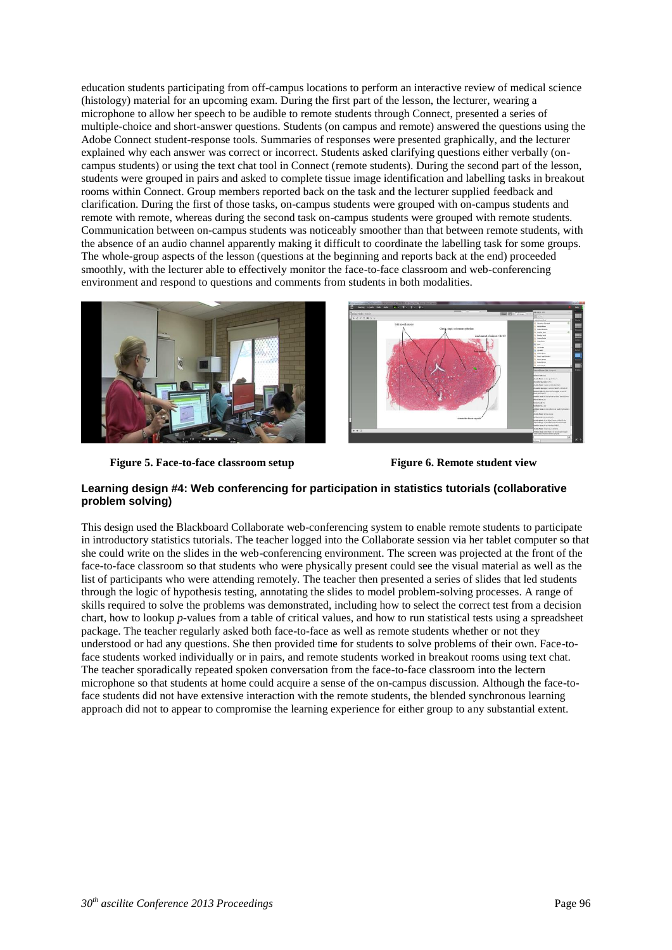education students participating from off-campus locations to perform an interactive review of medical science (histology) material for an upcoming exam. During the first part of the lesson, the lecturer, wearing a microphone to allow her speech to be audible to remote students through Connect, presented a series of multiple-choice and short-answer questions. Students (on campus and remote) answered the questions using the Adobe Connect student-response tools. Summaries of responses were presented graphically, and the lecturer explained why each answer was correct or incorrect. Students asked clarifying questions either verbally (oncampus students) or using the text chat tool in Connect (remote students). During the second part of the lesson, students were grouped in pairs and asked to complete tissue image identification and labelling tasks in breakout rooms within Connect. Group members reported back on the task and the lecturer supplied feedback and clarification. During the first of those tasks, on-campus students were grouped with on-campus students and remote with remote, whereas during the second task on-campus students were grouped with remote students. Communication between on-campus students was noticeably smoother than that between remote students, with the absence of an audio channel apparently making it difficult to coordinate the labelling task for some groups. The whole-group aspects of the lesson (questions at the beginning and reports back at the end) proceeded smoothly, with the lecturer able to effectively monitor the face-to-face classroom and web-conferencing environment and respond to questions and comments from students in both modalities.





**Figure 5. Face-to-face classroom setup Figure 6. Remote student view**

### **Learning design #4: Web conferencing for participation in statistics tutorials (collaborative problem solving)**

This design used the Blackboard Collaborate web-conferencing system to enable remote students to participate in introductory statistics tutorials. The teacher logged into the Collaborate session via her tablet computer so that she could write on the slides in the web-conferencing environment. The screen was projected at the front of the face-to-face classroom so that students who were physically present could see the visual material as well as the list of participants who were attending remotely. The teacher then presented a series of slides that led students through the logic of hypothesis testing, annotating the slides to model problem-solving processes. A range of skills required to solve the problems was demonstrated, including how to select the correct test from a decision chart, how to lookup *p*-values from a table of critical values, and how to run statistical tests using a spreadsheet package. The teacher regularly asked both face-to-face as well as remote students whether or not they understood or had any questions. She then provided time for students to solve problems of their own. Face-toface students worked individually or in pairs, and remote students worked in breakout rooms using text chat. The teacher sporadically repeated spoken conversation from the face-to-face classroom into the lectern microphone so that students at home could acquire a sense of the on-campus discussion. Although the face-toface students did not have extensive interaction with the remote students, the blended synchronous learning approach did not to appear to compromise the learning experience for either group to any substantial extent.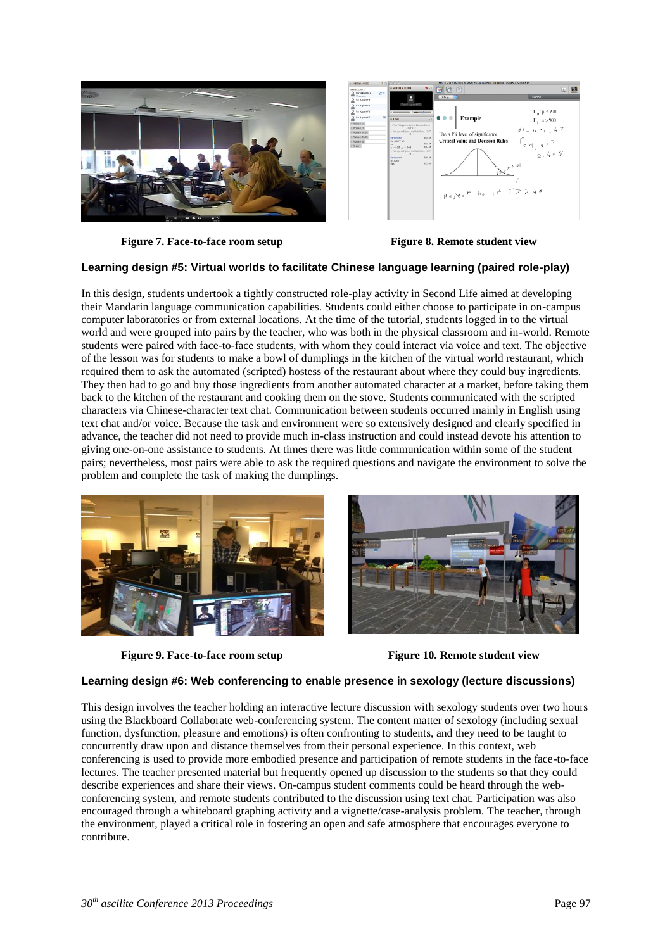



**Figure 7. Face-to-face room setup Figure 8. Remote student view**

### **Learning design #5: Virtual worlds to facilitate Chinese language learning (paired role-play)**

In this design, students undertook a tightly constructed role-play activity in Second Life aimed at developing their Mandarin language communication capabilities. Students could either choose to participate in on-campus computer laboratories or from external locations. At the time of the tutorial, students logged in to the virtual world and were grouped into pairs by the teacher, who was both in the physical classroom and in-world. Remote students were paired with face-to-face students, with whom they could interact via voice and text. The objective of the lesson was for students to make a bowl of dumplings in the kitchen of the virtual world restaurant, which required them to ask the automated (scripted) hostess of the restaurant about where they could buy ingredients. They then had to go and buy those ingredients from another automated character at a market, before taking them back to the kitchen of the restaurant and cooking them on the stove. Students communicated with the scripted characters via Chinese-character text chat. Communication between students occurred mainly in English using text chat and/or voice. Because the task and environment were so extensively designed and clearly specified in advance, the teacher did not need to provide much in-class instruction and could instead devote his attention to giving one-on-one assistance to students. At times there was little communication within some of the student pairs; nevertheless, most pairs were able to ask the required questions and navigate the environment to solve the problem and complete the task of making the dumplings.



**Figure 9. Face-to-face room setup Figure 10. Remote student view**



#### **Learning design #6: Web conferencing to enable presence in sexology (lecture discussions)**

This design involves the teacher holding an interactive lecture discussion with sexology students over two hours using the Blackboard Collaborate web-conferencing system. The content matter of sexology (including sexual function, dysfunction, pleasure and emotions) is often confronting to students, and they need to be taught to concurrently draw upon and distance themselves from their personal experience. In this context, web conferencing is used to provide more embodied presence and participation of remote students in the face-to-face lectures. The teacher presented material but frequently opened up discussion to the students so that they could describe experiences and share their views. On-campus student comments could be heard through the webconferencing system, and remote students contributed to the discussion using text chat. Participation was also encouraged through a whiteboard graphing activity and a vignette/case-analysis problem. The teacher, through the environment, played a critical role in fostering an open and safe atmosphere that encourages everyone to contribute.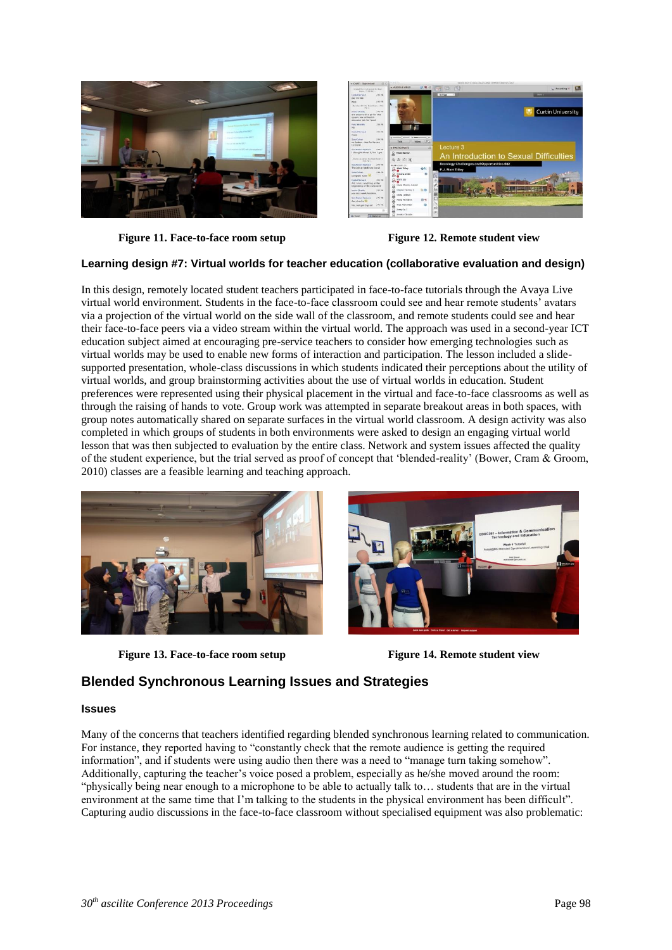



**Figure 11. Face-to-face room setup Figure 12. Remote student view**

### **Learning design #7: Virtual worlds for teacher education (collaborative evaluation and design)**

In this design, remotely located student teachers participated in face-to-face tutorials through the Avaya Live virtual world environment. Students in the face-to-face classroom could see and hear remote students' avatars via a projection of the virtual world on the side wall of the classroom, and remote students could see and hear their face-to-face peers via a video stream within the virtual world. The approach was used in a second-year ICT education subject aimed at encouraging pre-service teachers to consider how emerging technologies such as virtual worlds may be used to enable new forms of interaction and participation. The lesson included a slidesupported presentation, whole-class discussions in which students indicated their perceptions about the utility of virtual worlds, and group brainstorming activities about the use of virtual worlds in education. Student preferences were represented using their physical placement in the virtual and face-to-face classrooms as well as through the raising of hands to vote. Group work was attempted in separate breakout areas in both spaces, with group notes automatically shared on separate surfaces in the virtual world classroom. A design activity was also completed in which groups of students in both environments were asked to design an engaging virtual world lesson that was then subjected to evaluation by the entire class. Network and system issues affected the quality of the student experience, but the trial served as proof of concept that 'blended-reality' (Bower, Cram & Groom, 2010) classes are a feasible learning and teaching approach.



**Figure 13. Face-to-face room setup Figure 14. Remote student view**



## **Blended Synchronous Learning Issues and Strategies**

#### **Issues**

Many of the concerns that teachers identified regarding blended synchronous learning related to communication. For instance, they reported having to "constantly check that the remote audience is getting the required information", and if students were using audio then there was a need to "manage turn taking somehow". Additionally, capturing the teacher's voice posed a problem, especially as he/she moved around the room: "physically being near enough to a microphone to be able to actually talk to… students that are in the virtual environment at the same time that I'm talking to the students in the physical environment has been difficult". Capturing audio discussions in the face-to-face classroom without specialised equipment was also problematic: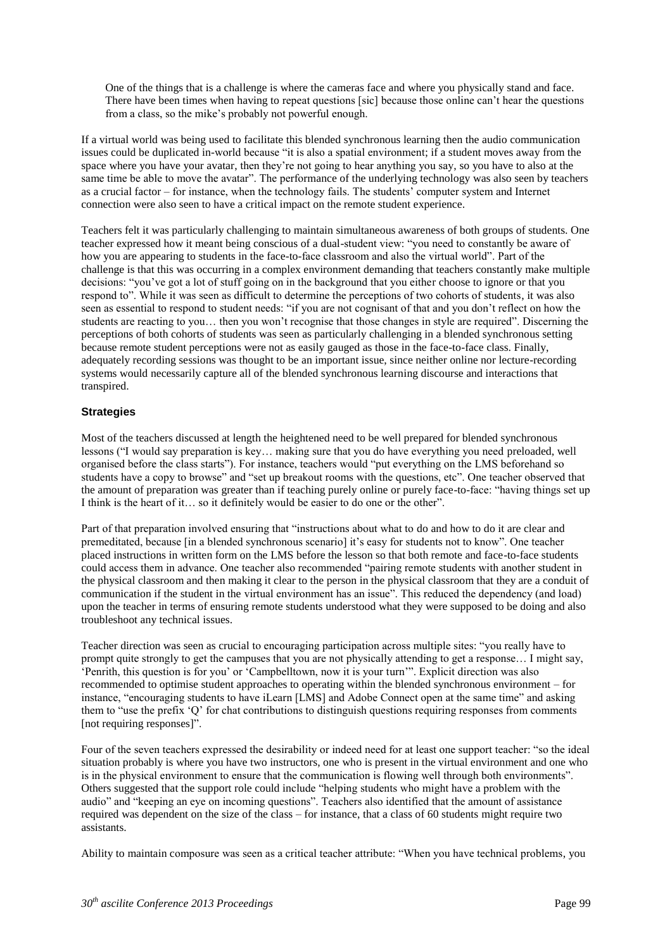One of the things that is a challenge is where the cameras face and where you physically stand and face. There have been times when having to repeat questions [sic] because those online can't hear the questions from a class, so the mike's probably not powerful enough.

If a virtual world was being used to facilitate this blended synchronous learning then the audio communication issues could be duplicated in-world because "it is also a spatial environment; if a student moves away from the space where you have your avatar, then they're not going to hear anything you say, so you have to also at the same time be able to move the avatar". The performance of the underlying technology was also seen by teachers as a crucial factor – for instance, when the technology fails. The students' computer system and Internet connection were also seen to have a critical impact on the remote student experience.

Teachers felt it was particularly challenging to maintain simultaneous awareness of both groups of students. One teacher expressed how it meant being conscious of a dual-student view: "you need to constantly be aware of how you are appearing to students in the face-to-face classroom and also the virtual world". Part of the challenge is that this was occurring in a complex environment demanding that teachers constantly make multiple decisions: "you've got a lot of stuff going on in the background that you either choose to ignore or that you respond to". While it was seen as difficult to determine the perceptions of two cohorts of students, it was also seen as essential to respond to student needs: "if you are not cognisant of that and you don't reflect on how the students are reacting to you… then you won't recognise that those changes in style are required". Discerning the perceptions of both cohorts of students was seen as particularly challenging in a blended synchronous setting because remote student perceptions were not as easily gauged as those in the face-to-face class. Finally, adequately recording sessions was thought to be an important issue, since neither online nor lecture-recording systems would necessarily capture all of the blended synchronous learning discourse and interactions that transpired.

### **Strategies**

Most of the teachers discussed at length the heightened need to be well prepared for blended synchronous lessons ("I would say preparation is key… making sure that you do have everything you need preloaded, well organised before the class starts"). For instance, teachers would "put everything on the LMS beforehand so students have a copy to browse" and "set up breakout rooms with the questions, etc". One teacher observed that the amount of preparation was greater than if teaching purely online or purely face-to-face: "having things set up I think is the heart of it… so it definitely would be easier to do one or the other".

Part of that preparation involved ensuring that "instructions about what to do and how to do it are clear and premeditated, because [in a blended synchronous scenario] it's easy for students not to know". One teacher placed instructions in written form on the LMS before the lesson so that both remote and face-to-face students could access them in advance. One teacher also recommended "pairing remote students with another student in the physical classroom and then making it clear to the person in the physical classroom that they are a conduit of communication if the student in the virtual environment has an issue". This reduced the dependency (and load) upon the teacher in terms of ensuring remote students understood what they were supposed to be doing and also troubleshoot any technical issues.

Teacher direction was seen as crucial to encouraging participation across multiple sites: "you really have to prompt quite strongly to get the campuses that you are not physically attending to get a response… I might say, 'Penrith, this question is for you' or 'Campbelltown, now it is your turn'". Explicit direction was also recommended to optimise student approaches to operating within the blended synchronous environment – for instance, "encouraging students to have iLearn [LMS] and Adobe Connect open at the same time" and asking them to "use the prefix 'Q' for chat contributions to distinguish questions requiring responses from comments [not requiring responses]".

Four of the seven teachers expressed the desirability or indeed need for at least one support teacher: "so the ideal situation probably is where you have two instructors, one who is present in the virtual environment and one who is in the physical environment to ensure that the communication is flowing well through both environments". Others suggested that the support role could include "helping students who might have a problem with the audio" and "keeping an eye on incoming questions". Teachers also identified that the amount of assistance required was dependent on the size of the class – for instance, that a class of 60 students might require two assistants.

Ability to maintain composure was seen as a critical teacher attribute: "When you have technical problems, you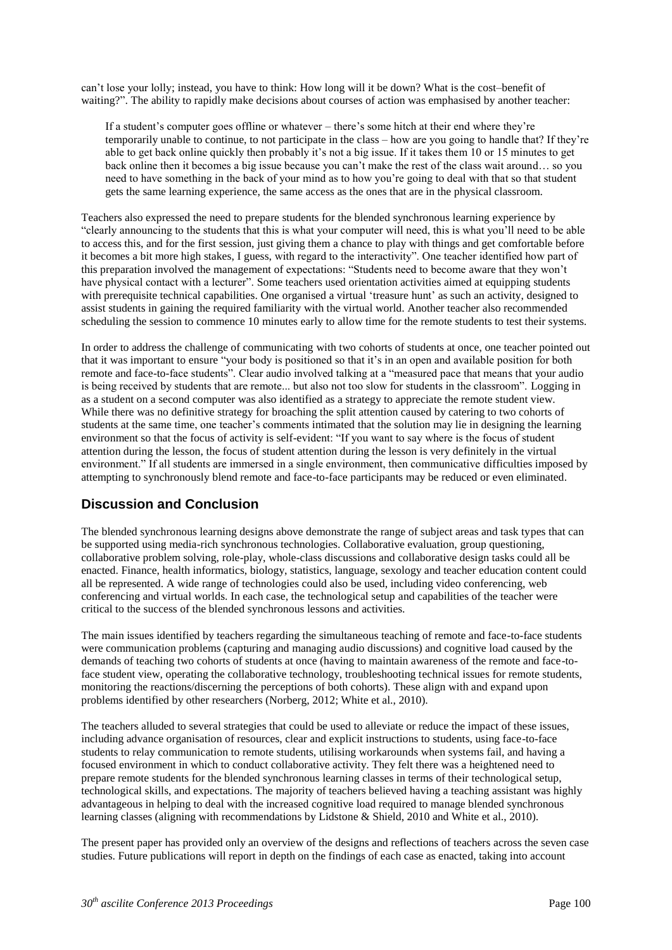can't lose your lolly; instead, you have to think: How long will it be down? What is the cost–benefit of waiting?". The ability to rapidly make decisions about courses of action was emphasised by another teacher:

If a student's computer goes offline or whatever – there's some hitch at their end where they're temporarily unable to continue, to not participate in the class – how are you going to handle that? If they're able to get back online quickly then probably it's not a big issue. If it takes them 10 or 15 minutes to get back online then it becomes a big issue because you can't make the rest of the class wait around… so you need to have something in the back of your mind as to how you're going to deal with that so that student gets the same learning experience, the same access as the ones that are in the physical classroom.

Teachers also expressed the need to prepare students for the blended synchronous learning experience by "clearly announcing to the students that this is what your computer will need, this is what you'll need to be able to access this, and for the first session, just giving them a chance to play with things and get comfortable before it becomes a bit more high stakes, I guess, with regard to the interactivity". One teacher identified how part of this preparation involved the management of expectations: "Students need to become aware that they won't have physical contact with a lecturer". Some teachers used orientation activities aimed at equipping students with prerequisite technical capabilities. One organised a virtual 'treasure hunt' as such an activity, designed to assist students in gaining the required familiarity with the virtual world. Another teacher also recommended scheduling the session to commence 10 minutes early to allow time for the remote students to test their systems.

In order to address the challenge of communicating with two cohorts of students at once, one teacher pointed out that it was important to ensure "your body is positioned so that it's in an open and available position for both remote and face-to-face students". Clear audio involved talking at a "measured pace that means that your audio is being received by students that are remote... but also not too slow for students in the classroom". Logging in as a student on a second computer was also identified as a strategy to appreciate the remote student view. While there was no definitive strategy for broaching the split attention caused by catering to two cohorts of students at the same time, one teacher's comments intimated that the solution may lie in designing the learning environment so that the focus of activity is self-evident: "If you want to say where is the focus of student attention during the lesson, the focus of student attention during the lesson is very definitely in the virtual environment." If all students are immersed in a single environment, then communicative difficulties imposed by attempting to synchronously blend remote and face-to-face participants may be reduced or even eliminated.

## **Discussion and Conclusion**

The blended synchronous learning designs above demonstrate the range of subject areas and task types that can be supported using media-rich synchronous technologies. Collaborative evaluation, group questioning, collaborative problem solving, role-play, whole-class discussions and collaborative design tasks could all be enacted. Finance, health informatics, biology, statistics, language, sexology and teacher education content could all be represented. A wide range of technologies could also be used, including video conferencing, web conferencing and virtual worlds. In each case, the technological setup and capabilities of the teacher were critical to the success of the blended synchronous lessons and activities.

The main issues identified by teachers regarding the simultaneous teaching of remote and face-to-face students were communication problems (capturing and managing audio discussions) and cognitive load caused by the demands of teaching two cohorts of students at once (having to maintain awareness of the remote and face-toface student view, operating the collaborative technology, troubleshooting technical issues for remote students, monitoring the reactions/discerning the perceptions of both cohorts). These align with and expand upon problems identified by other researchers (Norberg, 2012; White et al., 2010).

The teachers alluded to several strategies that could be used to alleviate or reduce the impact of these issues, including advance organisation of resources, clear and explicit instructions to students, using face-to-face students to relay communication to remote students, utilising workarounds when systems fail, and having a focused environment in which to conduct collaborative activity. They felt there was a heightened need to prepare remote students for the blended synchronous learning classes in terms of their technological setup, technological skills, and expectations. The majority of teachers believed having a teaching assistant was highly advantageous in helping to deal with the increased cognitive load required to manage blended synchronous learning classes (aligning with recommendations by Lidstone & Shield, 2010 and White et al., 2010).

The present paper has provided only an overview of the designs and reflections of teachers across the seven case studies. Future publications will report in depth on the findings of each case as enacted, taking into account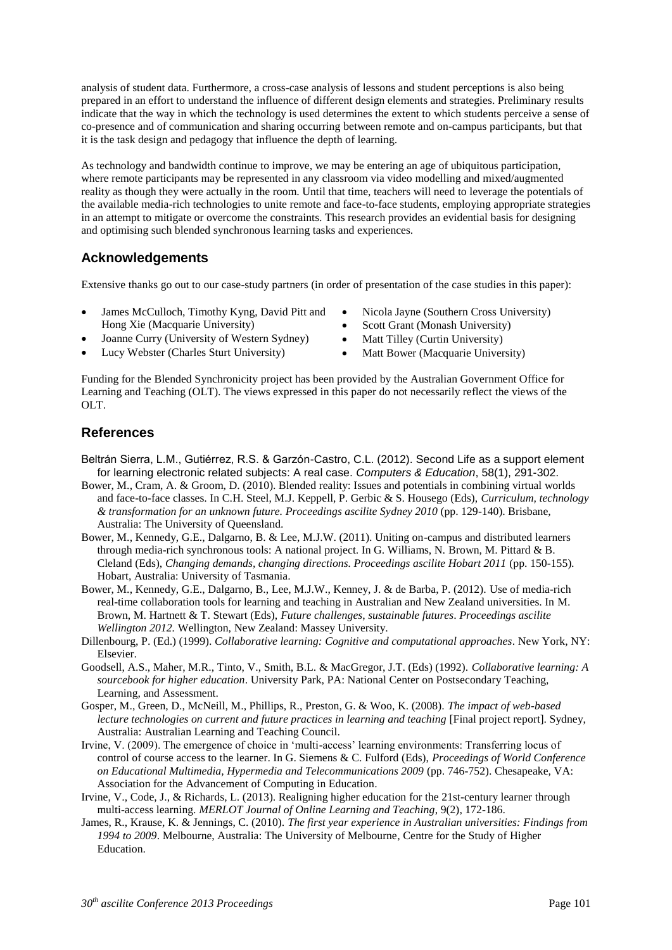analysis of student data. Furthermore, a cross-case analysis of lessons and student perceptions is also being prepared in an effort to understand the influence of different design elements and strategies. Preliminary results indicate that the way in which the technology is used determines the extent to which students perceive a sense of co-presence and of communication and sharing occurring between remote and on-campus participants, but that it is the task design and pedagogy that influence the depth of learning.

As technology and bandwidth continue to improve, we may be entering an age of ubiquitous participation, where remote participants may be represented in any classroom via video modelling and mixed/augmented reality as though they were actually in the room. Until that time, teachers will need to leverage the potentials of the available media-rich technologies to unite remote and face-to-face students, employing appropriate strategies in an attempt to mitigate or overcome the constraints. This research provides an evidential basis for designing and optimising such blended synchronous learning tasks and experiences.

## **Acknowledgements**

Extensive thanks go out to our case-study partners (in order of presentation of the case studies in this paper):

- James McCulloch, Timothy Kyng, David Pitt and Hong Xie (Macquarie University)
- Joanne Curry (University of Western Sydney)
- Lucy Webster (Charles Sturt University)
- Nicola Jayne (Southern Cross University)
- Scott Grant (Monash University)
- Matt Tilley (Curtin University)
- Matt Bower (Macquarie University)

Funding for the Blended Synchronicity project has been provided by the Australian Government Office for Learning and Teaching (OLT). The views expressed in this paper do not necessarily reflect the views of the OLT.

## **References**

- Beltrán Sierra, L.M., Gutiérrez, R.S. & Garzón-Castro, C.L. (2012). Second Life as a support element for learning electronic related subjects: A real case. *Computers & Education*, 58(1), 291-302.
- Bower, M., Cram, A. & Groom, D. (2010). Blended reality: Issues and potentials in combining virtual worlds and face-to-face classes. In C.H. Steel, M.J. Keppell, P. Gerbic & S. Housego (Eds), *Curriculum, technology & transformation for an unknown future. Proceedings ascilite Sydney 2010* (pp. 129-140). Brisbane, Australia: The University of Queensland.
- Bower, M., Kennedy, G.E., Dalgarno, B. & Lee, M.J.W. (2011). Uniting on-campus and distributed learners through media-rich synchronous tools: A national project. In G. Williams, N. Brown, M. Pittard & B. Cleland (Eds), *Changing demands, changing directions. Proceedings ascilite Hobart 2011* (pp. 150-155)*.*  Hobart, Australia: University of Tasmania.
- Bower, M., Kennedy, G.E., Dalgarno, B., Lee, M.J.W., Kenney, J. & de Barba, P. (2012). Use of media-rich real-time collaboration tools for learning and teaching in Australian and New Zealand universities. In M. Brown, M. Hartnett & T. Stewart (Eds), *Future challenges*, *sustainable futures*. *Proceedings ascilite Wellington 2012.* Wellington, New Zealand: Massey University.
- Dillenbourg, P. (Ed.) (1999). *Collaborative learning: Cognitive and computational approaches*. New York, NY: Elsevier.
- Goodsell, A.S., Maher, M.R., Tinto, V., Smith, B.L. & MacGregor, J.T. (Eds) (1992). *Collaborative learning: A sourcebook for higher education*. University Park, PA: National Center on Postsecondary Teaching, Learning, and Assessment.
- Gosper, M., Green, D., McNeill, M., Phillips, R., Preston, G. & Woo, K. (2008). *The impact of web-based lecture technologies on current and future practices in learning and teaching [Final project report]. Sydney,* Australia: Australian Learning and Teaching Council.
- Irvine, V. (2009). The emergence of choice in 'multi-access' learning environments: Transferring locus of control of course access to the learner. In G. Siemens & C. Fulford (Eds), *Proceedings of World Conference on Educational Multimedia, Hypermedia and Telecommunications 2009* (pp. 746-752). Chesapeake, VA: Association for the Advancement of Computing in Education.
- Irvine, V., Code, J., & Richards, L. (2013). Realigning higher education for the 21st-century learner through multi-access learning. *MERLOT Journal of Online Learning and Teaching*, 9(2), 172-186.
- James, R., Krause, K. & Jennings, C. (2010). *The first year experience in Australian universities: Findings from 1994 to 2009*. Melbourne, Australia: The University of Melbourne, Centre for the Study of Higher Education.